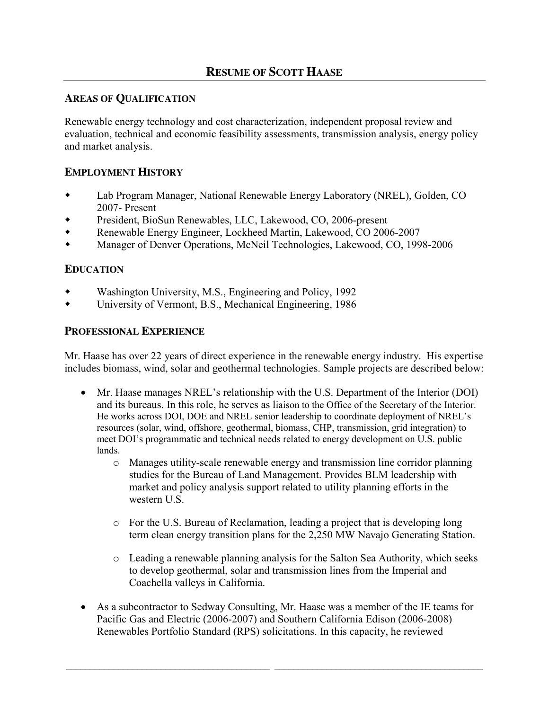## **AREAS OF QUALIFICATION**

Renewable energy technology and cost characterization, independent proposal review and evaluation, technical and economic feasibility assessments, transmission analysis, energy policy and market analysis.

## **EMPLOYMENT HISTORY**

- Lab Program Manager, National Renewable Energy Laboratory (NREL), Golden, CO 2007- Present
- President, BioSun Renewables, LLC, Lakewood, CO, 2006-present
- Renewable Energy Engineer, Lockheed Martin, Lakewood, CO 2006-2007
- Manager of Denver Operations, McNeil Technologies, Lakewood, CO, 1998-2006

## **EDUCATION**

- Washington University, M.S., Engineering and Policy, 1992
- University of Vermont, B.S., Mechanical Engineering, 1986

## **PROFESSIONAL EXPERIENCE**

Mr. Haase has over 22 years of direct experience in the renewable energy industry. His expertise includes biomass, wind, solar and geothermal technologies. Sample projects are described below:

- Mr. Haase manages NREL's relationship with the U.S. Department of the Interior (DOI) and its bureaus. In this role, he serves as liaison to the Office of the Secretary of the Interior. He works across DOI, DOE and NREL senior leadership to coordinate deployment of NREL's resources (solar, wind, offshore, geothermal, biomass, CHP, transmission, grid integration) to meet DOI's programmatic and technical needs related to energy development on U.S. public lands.
	- o Manages utility-scale renewable energy and transmission line corridor planning studies for the Bureau of Land Management. Provides BLM leadership with market and policy analysis support related to utility planning efforts in the western U.S.
	- o For the U.S. Bureau of Reclamation, leading a project that is developing long term clean energy transition plans for the 2,250 MW Navajo Generating Station.
	- o Leading a renewable planning analysis for the Salton Sea Authority, which seeks to develop geothermal, solar and transmission lines from the Imperial and Coachella valleys in California.
- As a subcontractor to Sedway Consulting, Mr. Haase was a member of the IE teams for Pacific Gas and Electric (2006-2007) and Southern California Edison (2006-2008) Renewables Portfolio Standard (RPS) solicitations. In this capacity, he reviewed

 $\mathcal{L}_\mathcal{L} = \mathcal{L}_\mathcal{L} = \mathcal{L}_\mathcal{L} = \mathcal{L}_\mathcal{L} = \mathcal{L}_\mathcal{L} = \mathcal{L}_\mathcal{L} = \mathcal{L}_\mathcal{L} = \mathcal{L}_\mathcal{L} = \mathcal{L}_\mathcal{L} = \mathcal{L}_\mathcal{L} = \mathcal{L}_\mathcal{L} = \mathcal{L}_\mathcal{L} = \mathcal{L}_\mathcal{L} = \mathcal{L}_\mathcal{L} = \mathcal{L}_\mathcal{L} = \mathcal{L}_\mathcal{L} = \mathcal{L}_\mathcal{L}$